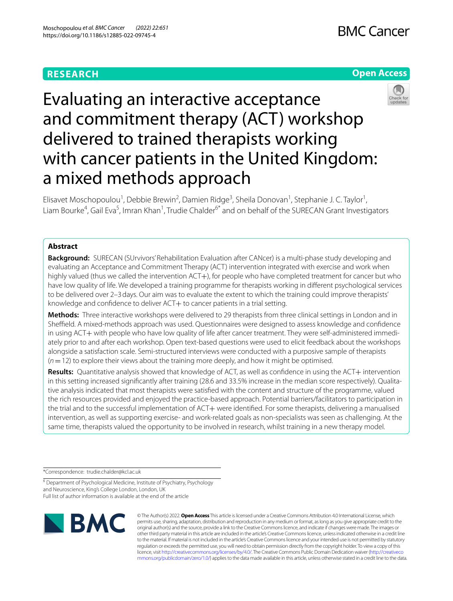# **RESEARCH**





# Evaluating an interactive acceptance and commitment therapy (ACT) workshop delivered to trained therapists working with cancer patients in the United Kingdom: a mixed methods approach

Elisavet Moschopoulou<sup>1</sup>, Debbie Brewin<sup>2</sup>, Damien Ridge<sup>3</sup>, Sheila Donovan<sup>1</sup>, Stephanie J. C. Taylor<sup>1</sup>, Liam Bourke<sup>4</sup>, Gail Eva<sup>5</sup>, Imran Khan<sup>1</sup>, Trudie Chalder<sup>6\*</sup> and on behalf of the SURECAN Grant Investigators

# **Abstract**

**Background:** SURECAN (SUrvivors' Rehabilitation Evaluation after CANcer) is a multi-phase study developing and evaluating an Acceptance and Commitment Therapy (ACT) intervention integrated with exercise and work when highly valued (thus we called the intervention ACT+), for people who have completed treatment for cancer but who have low quality of life. We developed a training programme for therapists working in diferent psychological services to be delivered over 2–3days. Our aim was to evaluate the extent to which the training could improve therapists' knowledge and confidence to deliver ACT+ to cancer patients in a trial setting.

**Methods:** Three interactive workshops were delivered to 29 therapists from three clinical settings in London and in Sheffield. A mixed-methods approach was used. Questionnaires were designed to assess knowledge and confidence in using ACT+ with people who have low quality of life after cancer treatment. They were self-administered immediately prior to and after each workshop. Open text-based questions were used to elicit feedback about the workshops alongside a satisfaction scale. Semi-structured interviews were conducted with a purposive sample of therapists (*n*=12) to explore their views about the training more deeply, and how it might be optimised.

Results: Quantitative analysis showed that knowledge of ACT, as well as confidence in using the ACT+ intervention in this setting increased signifcantly after training (28.6 and 33.5% increase in the median score respectively). Qualitative analysis indicated that most therapists were satisfed with the content and structure of the programme, valued the rich resources provided and enjoyed the practice-based approach. Potential barriers/facilitators to participation in the trial and to the successful implementation of ACT+ were identified. For some therapists, delivering a manualised intervention, as well as supporting exercise- and work-related goals as non-specialists was seen as challenging. At the same time, therapists valued the opportunity to be involved in research, whilst training in a new therapy model.

\*Correspondence: trudie.chalder@kcl.ac.uk

<sup>6</sup> Department of Psychological Medicine, Institute of Psychiatry, Psychology and Neuroscience, King's College London, London, UK Full list of author information is available at the end of the article



© The Author(s) 2022. **Open Access** This article is licensed under a Creative Commons Attribution 4.0 International License, which permits use, sharing, adaptation, distribution and reproduction in any medium or format, as long as you give appropriate credit to the original author(s) and the source, provide a link to the Creative Commons licence, and indicate if changes were made. The images or other third party material in this article are included in the article's Creative Commons licence, unless indicated otherwise in a credit line to the material. If material is not included in the article's Creative Commons licence and your intended use is not permitted by statutory regulation or exceeds the permitted use, you will need to obtain permission directly from the copyright holder. To view a copy of this licence, visit [http://creativecommons.org/licenses/by/4.0/.](http://creativecommons.org/licenses/by/4.0/) The Creative Commons Public Domain Dedication waiver ([http://creativeco](http://creativecommons.org/publicdomain/zero/1.0/) [mmons.org/publicdomain/zero/1.0/](http://creativecommons.org/publicdomain/zero/1.0/)) applies to the data made available in this article, unless otherwise stated in a credit line to the data.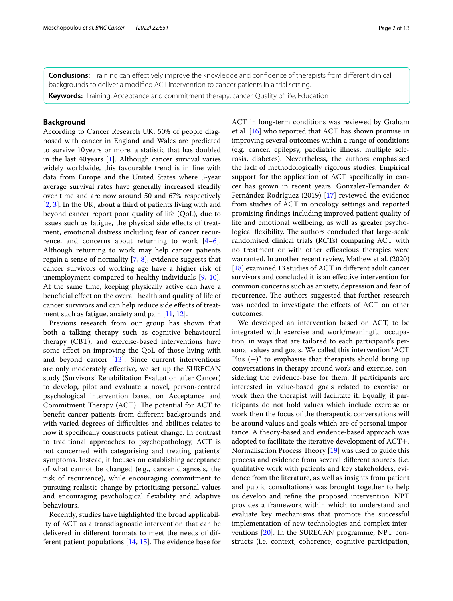**Conclusions:** Training can efectively improve the knowledge and confdence of therapists from diferent clinical backgrounds to deliver a modifed ACT intervention to cancer patients in a trial setting.

**Keywords:** Training, Acceptance and commitment therapy, cancer, Quality of life, Education

# **Background**

According to Cancer Research UK, 50% of people diagnosed with cancer in England and Wales are predicted to survive 10years or more, a statistic that has doubled in the last 40 years [[1\]](#page-12-0). Although cancer survival varies widely worldwide, this favourable trend is in line with data from Europe and the United States where 5-year average survival rates have generally increased steadily over time and are now around 50 and 67% respectively [[2,](#page-12-1) [3](#page-12-2)]. In the UK, about a third of patients living with and beyond cancer report poor quality of life (QoL), due to issues such as fatigue, the physical side effects of treatment, emotional distress including fear of cancer recurrence, and concerns about returning to work  $[4-6]$  $[4-6]$ . Although returning to work may help cancer patients regain a sense of normality [[7,](#page-12-5) [8](#page-12-6)], evidence suggests that cancer survivors of working age have a higher risk of unemployment compared to healthy individuals [\[9](#page-12-7), [10](#page-12-8)]. At the same time, keeping physically active can have a benefcial efect on the overall health and quality of life of cancer survivors and can help reduce side efects of treat-ment such as fatigue, anxiety and pain [\[11](#page-12-9), [12\]](#page-12-10).

Previous research from our group has shown that both a talking therapy such as cognitive behavioural therapy (CBT), and exercise-based interventions have some efect on improving the QoL of those living with and beyond cancer [\[13](#page-12-11)]. Since current interventions are only moderately efective, we set up the SURECAN study (Survivors' Rehabilitation Evaluation after Cancer) to develop, pilot and evaluate a novel, person-centred psychological intervention based on Acceptance and Commitment Therapy (ACT). The potential for ACT to beneft cancer patients from diferent backgrounds and with varied degrees of difficulties and abilities relates to how it specifcally constructs patient change. In contrast to traditional approaches to psychopathology, ACT is not concerned with categorising and treating patients' symptoms. Instead, it focuses on establishing acceptance of what cannot be changed (e.g., cancer diagnosis, the risk of recurrence), while encouraging commitment to pursuing realistic change by prioritising personal values and encouraging psychological fexibility and adaptive behaviours.

Recently, studies have highlighted the broad applicability of ACT as a transdiagnostic intervention that can be delivered in diferent formats to meet the needs of different patient populations  $[14, 15]$  $[14, 15]$  $[14, 15]$  $[14, 15]$  $[14, 15]$ . The evidence base for ACT in long-term conditions was reviewed by Graham et al. [[16\]](#page-12-14) who reported that ACT has shown promise in improving several outcomes within a range of conditions (e.g. cancer, epilepsy, paediatric illness, multiple sclerosis, diabetes). Nevertheless, the authors emphasised the lack of methodologically rigorous studies. Empirical support for the application of ACT specifcally in cancer has grown in recent years. Gonzalez-Fernandez & Fernández-Rodríguez (2019) [\[17](#page-12-15)] reviewed the evidence from studies of ACT in oncology settings and reported promising fndings including improved patient quality of life and emotional wellbeing, as well as greater psychological flexibility. The authors concluded that large-scale randomised clinical trials (RCTs) comparing ACT with no treatment or with other efficacious therapies were warranted. In another recent review, Mathew et al. (2020) [[18\]](#page-12-16) examined 13 studies of ACT in different adult cancer survivors and concluded it is an efective intervention for common concerns such as anxiety, depression and fear of recurrence. The authors suggested that further research was needed to investigate the efects of ACT on other outcomes.

We developed an intervention based on ACT, to be integrated with exercise and work/meaningful occupation, in ways that are tailored to each participant's personal values and goals. We called this intervention "ACT Plus  $(+)$ " to emphasise that therapists should bring up conversations in therapy around work and exercise, considering the evidence-base for them. If participants are interested in value-based goals related to exercise or work then the therapist will facilitate it. Equally, if participants do not hold values which include exercise or work then the focus of the therapeutic conversations will be around values and goals which are of personal importance. A theory-based and evidence-based approach was adopted to facilitate the iterative development of ACT+. Normalisation Process Theory  $[19]$  $[19]$  was used to guide this process and evidence from several diferent sources (i.e. qualitative work with patients and key stakeholders, evidence from the literature, as well as insights from patient and public consultations) was brought together to help us develop and refne the proposed intervention. NPT provides a framework within which to understand and evaluate key mechanisms that promote the successful implementation of new technologies and complex interventions [\[20\]](#page-12-18). In the SURECAN programme, NPT constructs (i.e. context, coherence, cognitive participation,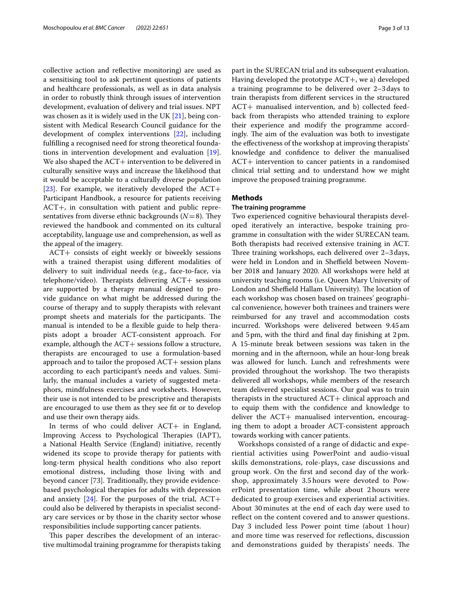collective action and refective monitoring) are used as a sensitising tool to ask pertinent questions of patients and healthcare professionals, as well as in data analysis in order to robustly think through issues of intervention development, evaluation of delivery and trial issues. NPT was chosen as it is widely used in the UK [\[21](#page-12-19)], being consistent with Medical Research Council guidance for the development of complex interventions [[22](#page-12-20)], including fulflling a recognised need for strong theoretical foundations in intervention development and evaluation [\[19](#page-12-17)]. We also shaped the ACT+ intervention to be delivered in culturally sensitive ways and increase the likelihood that it would be acceptable to a culturally diverse population [[23\]](#page-12-21). For example, we iteratively developed the  $ACT+$ Participant Handbook, a resource for patients receiving ACT+, in consultation with patient and public representatives from diverse ethnic backgrounds  $(N=8)$ . They reviewed the handbook and commented on its cultural acceptability, language use and comprehension, as well as the appeal of the imagery.

ACT+ consists of eight weekly or biweekly sessions with a trained therapist using diferent modalities of delivery to suit individual needs (e.g., face-to-face, via telephone/video). Therapists delivering  $ACT+$  sessions are supported by a therapy manual designed to provide guidance on what might be addressed during the course of therapy and to supply therapists with relevant prompt sheets and materials for the participants. The manual is intended to be a fexible guide to help therapists adopt a broader ACT-consistent approach. For example, although the  $ACT+$  sessions follow a structure, therapists are encouraged to use a formulation-based approach and to tailor the proposed ACT+ session plans according to each participant's needs and values. Similarly, the manual includes a variety of suggested metaphors, mindfulness exercises and worksheets. However, their use is not intended to be prescriptive and therapists are encouraged to use them as they see ft or to develop and use their own therapy aids.

In terms of who could deliver ACT+ in England, Improving Access to Psychological Therapies (IAPT), a National Health Service (England) initiative, recently widened its scope to provide therapy for patients with long-term physical health conditions who also report emotional distress, including those living with and beyond cancer [73]. Traditionally, they provide evidencebased psychological therapies for adults with depression and anxiety  $[24]$  $[24]$ . For the purposes of the trial,  $ACT+$ could also be delivered by therapists in specialist secondary care services or by those in the charity sector whose responsibilities include supporting cancer patients.

This paper describes the development of an interactive multimodal training programme for therapists taking part in the SURECAN trial and its subsequent evaluation. Having developed the prototype ACT+, we a) developed a training programme to be delivered over 2–3days to train therapists from diferent services in the structured ACT+ manualised intervention, and b) collected feedback from therapists who attended training to explore their experience and modify the programme accordingly. The aim of the evaluation was both to investigate the efectiveness of the workshop at improving therapists' knowledge and confdence to deliver the manualised ACT+ intervention to cancer patients in a randomised clinical trial setting and to understand how we might improve the proposed training programme.

# **Methods**

# **The training programme**

Two experienced cognitive behavioural therapists developed iteratively an interactive, bespoke training programme in consultation with the wider SURECAN team. Both therapists had received extensive training in ACT. Three training workshops, each delivered over 2-3 days, were held in London and in Sheffield between November 2018 and January 2020. All workshops were held at university teaching rooms (i.e. Queen Mary University of London and Sheffield Hallam University). The location of each workshop was chosen based on trainees' geographical convenience, however both trainees and trainers were reimbursed for any travel and accommodation costs incurred. Workshops were delivered between 9.45am and 5pm, with the third and fnal day fnishing at 2pm. A 15-minute break between sessions was taken in the morning and in the afternoon, while an hour-long break was allowed for lunch. Lunch and refreshments were provided throughout the workshop. The two therapists delivered all workshops, while members of the research team delivered specialist sessions. Our goal was to train therapists in the structured ACT+ clinical approach and to equip them with the confdence and knowledge to deliver the ACT+ manualised intervention, encouraging them to adopt a broader ACT-consistent approach towards working with cancer patients.

Workshops consisted of a range of didactic and experiential activities using PowerPoint and audio-visual skills demonstrations, role-plays, case discussions and group work. On the frst and second day of the workshop, approximately 3.5 hours were devoted to PowerPoint presentation time, while about 2 hours were dedicated to group exercises and experiential activities. About 30 minutes at the end of each day were used to reflect on the content covered and to answer questions. Day 3 included less Power point time (about 1 hour) and more time was reserved for refections, discussion and demonstrations guided by therapists' needs. The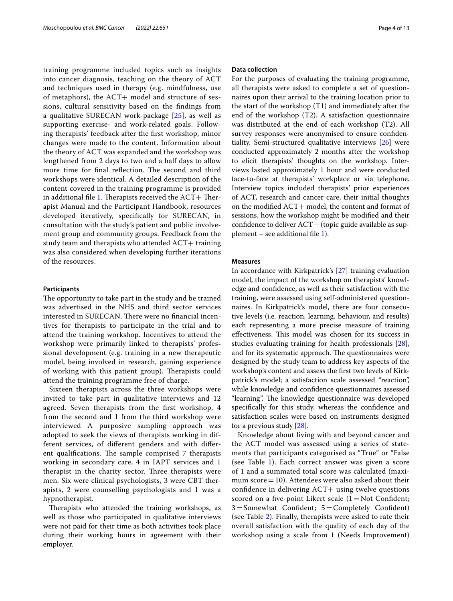training programme included topics such as insights into cancer diagnosis, teaching on the theory of ACT and techniques used in therapy (e.g. mindfulness, use of metaphors), the  $ACT+$  model and structure of sessions, cultural sensitivity based on the fndings from a qualitative SURECAN work-package [\[25](#page-12-23)], as well as supporting exercise- and work-related goals. Following therapists' feedback after the frst workshop, minor changes were made to the content. Information about the theory of ACT was expanded and the workshop was lengthened from 2 days to two and a half days to allow more time for final reflection. The second and third workshops were identical. A detailed description of the content covered in the training programme is provided in additional file [1.](#page-11-0) Therapists received the  $ACT+$  Therapist Manual and the Participant Handbook, resources developed iteratively, specifcally for SURECAN, in consultation with the study's patient and public involvement group and community groups. Feedback from the study team and therapists who attended ACT+ training was also considered when developing further iterations of the resources.

# **Participants**

The opportunity to take part in the study and be trained was advertised in the NHS and third sector services interested in SURECAN. There were no financial incentives for therapists to participate in the trial and to attend the training workshop. Incentives to attend the workshop were primarily linked to therapists' professional development (e.g. training in a new therapeutic model, being involved in research, gaining experience of working with this patient group). Therapists could attend the training programme free of charge.

Sixteen therapists across the three workshops were invited to take part in qualitative interviews and 12 agreed. Seven therapists from the frst workshop, 4 from the second and 1 from the third workshop were interviewed A purposive sampling approach was adopted to seek the views of therapists working in different services, of diferent genders and with diferent qualifications. The sample comprised 7 therapists working in secondary care, 4 in IAPT services and 1 therapist in the charity sector. Three therapists were men. Six were clinical psychologists, 3 were CBT therapists, 2 were counselling psychologists and 1 was a hypnotherapist.

Therapists who attended the training workshops, as well as those who participated in qualitative interviews were not paid for their time as both activities took place during their working hours in agreement with their employer.

# **Data collection**

For the purposes of evaluating the training programme, all therapists were asked to complete a set of questionnaires upon their arrival to the training location prior to the start of the workshop (T1) and immediately after the end of the workshop (T2). A satisfaction questionnaire was distributed at the end of each workshop (T2). All survey responses were anonymised to ensure confdentiality. Semi-structured qualitative interviews [[26\]](#page-12-24) were conducted approximately 2 months after the workshop to elicit therapists' thoughts on the workshop. Interviews lasted approximately 1 hour and were conducted face-to-face at therapists' workplace or via telephone. Interview topics included therapists' prior experiences of ACT, research and cancer care, their initial thoughts on the modifed ACT+ model, the content and format of sessions, how the workshop might be modifed and their confidence to deliver ACT+ (topic guide available as supplement – see additional file  $1$ ).

#### **Measures**

In accordance with Kirkpatrick's [[27\]](#page-12-25) training evaluation model, the impact of the workshop on therapists' knowledge and confdence, as well as their satisfaction with the training, were assessed using self-administered questionnaires. In Kirkpatrick's model, there are four consecutive levels (i.e. reaction, learning, behaviour, and results) each representing a more precise measure of training effectiveness. This model was chosen for its success in studies evaluating training for health professionals [\[28](#page-12-26)], and for its systematic approach. The questionnaires were designed by the study team to address key aspects of the workshop's content and assess the frst two levels of Kirkpatrick's model; a satisfaction scale assessed "reaction", while knowledge and confdence questionnaires assessed "learning". The knowledge questionnaire was developed specifcally for this study, whereas the confdence and satisfaction scales were based on instruments designed for a previous study [[28](#page-12-26)].

Knowledge about living with and beyond cancer and the ACT model was assessed using a series of statements that participants categorised as "True" or "False (see Table [1\)](#page-4-0). Each correct answer was given a score of 1 and a summated total score was calculated (maximum score $=10$ ). Attendees were also asked about their confdence in delivering ACT+ using twelve questions scored on a five-point Likert scale  $(1)$  Not Confident;  $3 =$ Somewhat Confident;  $5 =$ Completely Confident) (see Table [2\)](#page-4-1). Finally, therapists were asked to rate their overall satisfaction with the quality of each day of the workshop using a scale from 1 (Needs Improvement)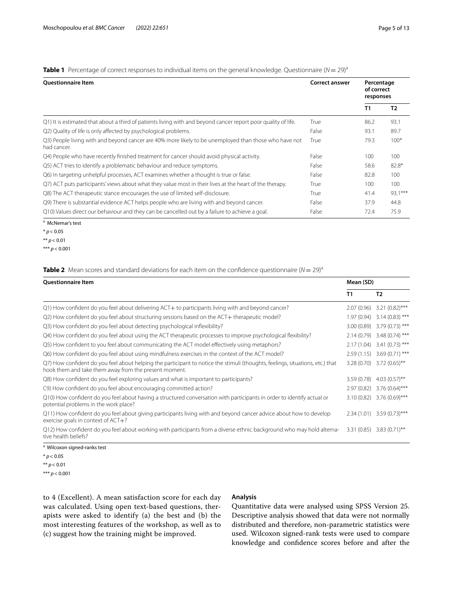<span id="page-4-0"></span>

|  |  | Table 1 Percentage of correct responses to individual items on the general knowledge. Questionnaire (N = 29) <sup>a</sup> |  |  |  |  |  |  |
|--|--|---------------------------------------------------------------------------------------------------------------------------|--|--|--|--|--|--|
|--|--|---------------------------------------------------------------------------------------------------------------------------|--|--|--|--|--|--|

| <b>Ouestionnaire Item</b>                                                                                            | <b>Correct answer</b> | Percentage<br>of correct<br>responses |                |
|----------------------------------------------------------------------------------------------------------------------|-----------------------|---------------------------------------|----------------|
|                                                                                                                      |                       | T1                                    | T <sub>2</sub> |
| Q1) It is estimated that about a third of patients living with and beyond cancer report poor quality of life.        | True                  | 86.2                                  | 93.1           |
| Q2) Quality of life is only affected by psychological problems.                                                      | False                 | 93.1                                  | 89.7           |
| Q3) People living with and beyond cancer are 40% more likely to be unemployed than those who have not<br>had cancer. | True                  | 79.3                                  | $100*$         |
| Q4) People who have recently finished treatment for cancer should avoid physical activity.                           | False                 | 100                                   | 100            |
| Q5) ACT tries to identify a problematic behaviour and reduce symptoms.                                               | False                 | 58.6                                  | 82.8*          |
| Q6) In targeting unhelpful processes, ACT examines whether a thought is true or false.                               | False                 | 82.8                                  | 100            |
| Q7) ACT puts participants' views about what they value most in their lives at the heart of the therapy.              | True                  | 100                                   | 100            |
| Q8) The ACT therapeutic stance encourages the use of limited self-disclosure.                                        | True                  | 41.4                                  | 93.1***        |
| Q9) There is substantial evidence ACT helps people who are living with and beyond cancer.                            | False                 | 37.9                                  | 44.8           |
| Q10) Values direct our behaviour and they can be cancelled out by a failure to achieve a goal.                       | False                 | 72.4                                  | 75.9           |

<sup>a</sup> McNemar's test

\* *p<* 0.05

\*\* *p<* 0.01

# <span id="page-4-1"></span>**Table 2** Mean scores and standard deviations for each item on the confidence questionnaire  $(N = 29)^a$

| <b>Questionnaire Item</b>                                                                                                                                                              | Mean (SD)  |                                |
|----------------------------------------------------------------------------------------------------------------------------------------------------------------------------------------|------------|--------------------------------|
|                                                                                                                                                                                        | T1         | T <sub>2</sub>                 |
| Q1) How confident do you feel about delivering ACT+ to participants living with and beyond cancer?                                                                                     | 2.07(0.96) | $3.21(0.82)$ ***               |
| Q2) How confident do you feel about structuring sessions based on the ACT+ therapeutic model?                                                                                          | 1.97(0.94) | $3.14(0.83)$ ***               |
| Q3) How confident do you feel about detecting psychological inflexibility?                                                                                                             |            | 3.00 (0.89) 3.79 (0.73) ***    |
| Q4) How confident do you feel about using the ACT therapeutic processes to improve psychological flexibility?                                                                          |            | 2.14 (0.79) 3.48 (0.74) ***    |
| Q5) How confident to you feel about communicating the ACT model effectively using metaphors?                                                                                           | 2.17(1.04) | $3.41(0.73)$ ***               |
| Q6) How confident do you feel about using mindfulness exercises in the context of the ACT model?                                                                                       |            | 2.59 (1.15) 3.69 (0.71) ***    |
| Q7) How confident do you feel about helping the participant to notice the stimuli (thoughts, feelings, situations, etc.) that<br>hook them and take them away from the present moment. |            | $3.28(0.70)$ $3.72(0.65)$ **   |
| Q8) How confident do you feel exploring values and what is important to participants?                                                                                                  | 3.59(0.78) | $4.03(0.57)$ **                |
| C9) How confident do you feel about encouraging committed action?                                                                                                                      | 2.97(0.82) | $3.76(0.64)$ ***               |
| Q10) How confident do you feel about having a structured conversation with participants in order to identify actual or<br>potential problems in the work place?                        |            | $3.10(0.82)$ 3.76 $(0.69)$ *** |
| Q11) How confident do you feel about giving participants living with and beyond cancer advice about how to develop<br>exercise goals in context of $ACT+?$                             |            | $2.34(1.01)$ 3.59 $(0.73)$ *** |
| Q12) How confident do you feel about working with participants from a diverse ethnic background who may hold alterna-<br>tive health beliefs?                                          |            | $3.31(0.85)$ $3.83(0.71)$ **   |
| <sup>a</sup> Wilcoxon signed-ranks test                                                                                                                                                |            |                                |

Wilcoxon signed-ranks test

 $*$   $p$  < 0.05

\*\* *p<* 0.01

\*\*\* *p<* 0.001

to 4 (Excellent). A mean satisfaction score for each day was calculated. Using open text-based questions, therapists were asked to identify (a) the best and (b) the most interesting features of the workshop, as well as to (c) suggest how the training might be improved.

# **Analysis**

Quantitative data were analysed using SPSS Version 25. Descriptive analysis showed that data were not normally distributed and therefore, non-parametric statistics were used. Wilcoxon signed-rank tests were used to compare knowledge and confdence scores before and after the

<sup>\*\*\*</sup> *p<* 0.001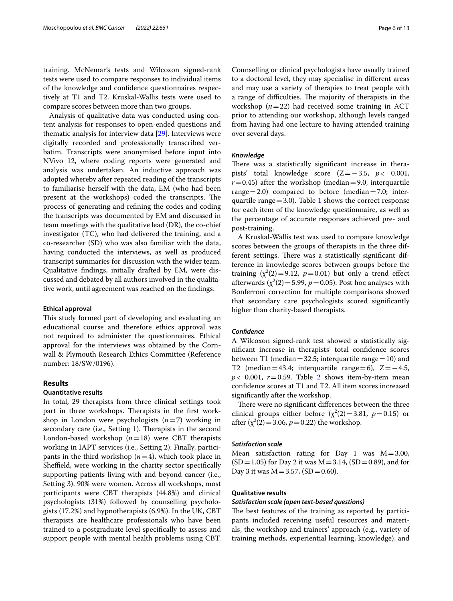training. McNemar's tests and Wilcoxon signed-rank tests were used to compare responses to individual items of the knowledge and confdence questionnaires respectively at T1 and T2. Kruskal-Wallis tests were used to compare scores between more than two groups.

Analysis of qualitative data was conducted using content analysis for responses to open-ended questions and thematic analysis for interview data [[29\]](#page-12-27). Interviews were digitally recorded and professionally transcribed verbatim. Transcripts were anonymised before input into NVivo 12, where coding reports were generated and analysis was undertaken. An inductive approach was adopted whereby after repeated reading of the transcripts to familiarise herself with the data, EM (who had been present at the workshops) coded the transcripts. The process of generating and refning the codes and coding the transcripts was documented by EM and discussed in team meetings with the qualitative lead (DR), the co-chief investigator (TC), who had delivered the training, and a co-researcher (SD) who was also familiar with the data, having conducted the interviews, as well as produced transcript summaries for discussion with the wider team. Qualitative fndings, initially drafted by EM, were discussed and debated by all authors involved in the qualitative work, until agreement was reached on the fndings.

#### **Ethical approval**

This study formed part of developing and evaluating an educational course and therefore ethics approval was not required to administer the questionnaires. Ethical approval for the interviews was obtained by the Cornwall & Plymouth Research Ethics Committee (Reference number: 18/SW/0196).

# **Results**

# **Quantitative results**

In total, 29 therapists from three clinical settings took part in three workshops. Therapists in the first workshop in London were psychologists (*n*=7) working in secondary care (i.e., Setting 1). Therapists in the second London-based workshop  $(n=18)$  were CBT therapists working in IAPT services (i.e., Setting 2). Finally, participants in the third workshop  $(n=4)$ , which took place in Sheffield, were working in the charity sector specifically supporting patients living with and beyond cancer (i.e., Setting 3). 90% were women. Across all workshops, most participants were CBT therapists (44.8%) and clinical psychologists (31%) followed by counselling psychologists (17.2%) and hypnotherapists (6.9%). In the UK, CBT therapists are healthcare professionals who have been trained to a postgraduate level specifcally to assess and support people with mental health problems using CBT.

Counselling or clinical psychologists have usually trained to a doctoral level, they may specialise in diferent areas and may use a variety of therapies to treat people with a range of difficulties. The majority of therapists in the workshop (*n*=22) had received some training in ACT prior to attending our workshop, although levels ranged from having had one lecture to having attended training over several days.

#### *Knowledge*

There was a statistically significant increase in therapists' total knowledge score (Z=−3.5, *p<* 0.001,  $r=0.45$ ) after the workshop (median=9.0; interquartile range  $=2.0$ ) compared to before (median $=7.0$ ; interquartile range  $=$  3.0). Table [1](#page-4-0) shows the correct response for each item of the knowledge questionnaire, as well as the percentage of accurate responses achieved pre- and post-training.

A Kruskal-Wallis test was used to compare knowledge scores between the groups of therapists in the three different settings. There was a statistically significant difference in knowledge scores between groups before the training  $(\chi^2(2)=9.12, p=0.01)$  but only a trend effect afterwards  $(\chi^2(2) = 5.99, p = 0.05)$ . Post hoc analyses with Bonferroni correction for multiple comparisons showed that secondary care psychologists scored signifcantly higher than charity-based therapists.

#### *Confdence*

A Wilcoxon signed-rank test showed a statistically signifcant increase in therapists' total confdence scores between T1 (median = 32.5; interquartile range = 10) and T2 (median=43.4; interquartile range=6),  $Z = -4.5$ ,  $p$  < 0.001,  $r$  = 0.59. Table [2](#page-4-1) shows item-by-item mean confdence scores at T1 and T2. All item scores increased signifcantly after the workshop.

There were no significant differences between the three clinical groups either before  $(\chi^2(2)=3.81, p=0.15)$  or after  $(\chi^2(2) = 3.06, p = 0.22)$  the workshop.

## *Satisfaction scale*

Mean satisfaction rating for Day 1 was  $M = 3.00$ ,  $(SD=1.05)$  for Day 2 it was M = 3.14,  $(SD=0.89)$ , and for Day 3 it was  $M = 3.57$ , (SD = 0.60).

# **Qualitative results**

## *Satisfaction scale (open text‑based questions)*

The best features of the training as reported by participants included receiving useful resources and materials, the workshop and trainers' approach (e.g., variety of training methods, experiential learning, knowledge), and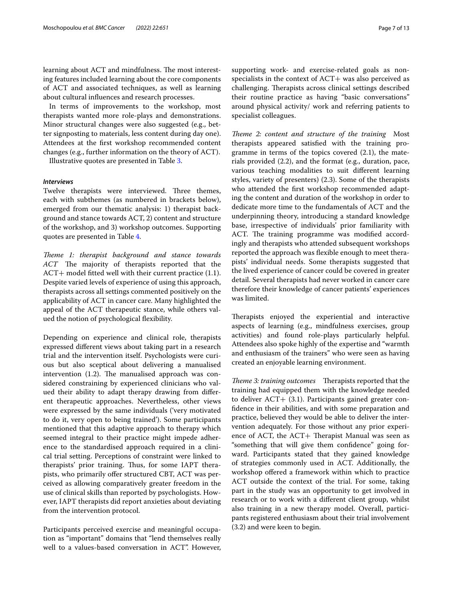learning about ACT and mindfulness. The most interesting features included learning about the core components of ACT and associated techniques, as well as learning about cultural infuences and research processes.

In terms of improvements to the workshop, most therapists wanted more role-plays and demonstrations. Minor structural changes were also suggested (e.g., better signposting to materials, less content during day one). Attendees at the frst workshop recommended content changes (e.g., further information on the theory of ACT).

Illustrative quotes are presented in Table [3.](#page-7-0)

## *Interviews*

Twelve therapists were interviewed. Three themes, each with subthemes (as numbered in brackets below), emerged from our thematic analysis: 1) therapist background and stance towards ACT, 2) content and structure of the workshop, and 3) workshop outcomes. Supporting quotes are presented in Table [4](#page-9-0).

*Theme 1: therapist background and stance towards ACT* The majority of therapists reported that the ACT+ model fitted well with their current practice (1.1). Despite varied levels of experience of using this approach, therapists across all settings commented positively on the applicability of ACT in cancer care. Many highlighted the appeal of the ACT therapeutic stance, while others valued the notion of psychological flexibility.

Depending on experience and clinical role, therapists expressed diferent views about taking part in a research trial and the intervention itself. Psychologists were curious but also sceptical about delivering a manualised intervention  $(1.2)$ . The manualised approach was considered constraining by experienced clinicians who valued their ability to adapt therapy drawing from diferent therapeutic approaches. Nevertheless, other views were expressed by the same individuals ('very motivated to do it, very open to being trained'). Some participants mentioned that this adaptive approach to therapy which seemed integral to their practice might impede adherence to the standardised approach required in a clinical trial setting. Perceptions of constraint were linked to therapists' prior training. Thus, for some IAPT therapists, who primarily offer structured CBT, ACT was perceived as allowing comparatively greater freedom in the use of clinical skills than reported by psychologists. However, IAPT therapists did report anxieties about deviating from the intervention protocol.

Participants perceived exercise and meaningful occupation as "important" domains that "lend themselves really well to a values-based conversation in ACT". However, supporting work- and exercise-related goals as nonspecialists in the context of  $ACT+$  was also perceived as challenging. Therapists across clinical settings described their routine practice as having "basic conversations" around physical activity/ work and referring patients to specialist colleagues.

*Theme 2: content and structure of the training* Most therapists appeared satisfed with the training programme in terms of the topics covered (2.1), the materials provided (2.2), and the format (e.g., duration, pace, various teaching modalities to suit diferent learning styles, variety of presenters) (2.3). Some of the therapists who attended the frst workshop recommended adapting the content and duration of the workshop in order to dedicate more time to the fundamentals of ACT and the underpinning theory, introducing a standard knowledge base, irrespective of individuals' prior familiarity with ACT. The training programme was modified accordingly and therapists who attended subsequent workshops reported the approach was fexible enough to meet therapists' individual needs. Some therapists suggested that the lived experience of cancer could be covered in greater detail. Several therapists had never worked in cancer care therefore their knowledge of cancer patients' experiences was limited.

Therapists enjoyed the experiential and interactive aspects of learning (e.g., mindfulness exercises, group activities) and found role-plays particularly helpful. Attendees also spoke highly of the expertise and "warmth and enthusiasm of the trainers" who were seen as having created an enjoyable learning environment.

*Theme 3: training outcomes* Therapists reported that the training had equipped them with the knowledge needed to deliver ACT+ (3.1). Participants gained greater confdence in their abilities, and with some preparation and practice, believed they would be able to deliver the intervention adequately. For those without any prior experience of ACT, the  $ACT+$  Therapist Manual was seen as "something that will give them confdence" going forward. Participants stated that they gained knowledge of strategies commonly used in ACT. Additionally, the workshop ofered a framework within which to practice ACT outside the context of the trial. For some, taking part in the study was an opportunity to get involved in research or to work with a diferent client group, whilst also training in a new therapy model. Overall, participants registered enthusiasm about their trial involvement (3.2) and were keen to begin.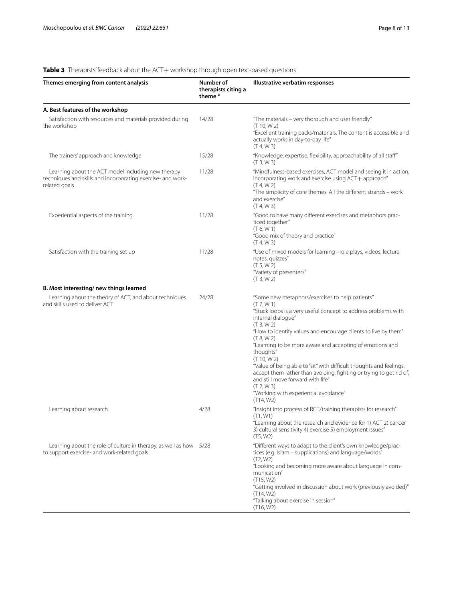# <span id="page-7-0"></span>**Table 3** Therapists' feedback about the ACT+ workshop through open text-based questions

| Themes emerging from content analysis                                                                                              | Number of<br>therapists citing a<br>theme <sup>a</sup> | Illustrative verbatim responses                                                                                                                                                                                                                                                                                                                                                                                                                                                                                                                                                                  |
|------------------------------------------------------------------------------------------------------------------------------------|--------------------------------------------------------|--------------------------------------------------------------------------------------------------------------------------------------------------------------------------------------------------------------------------------------------------------------------------------------------------------------------------------------------------------------------------------------------------------------------------------------------------------------------------------------------------------------------------------------------------------------------------------------------------|
| A. Best features of the workshop                                                                                                   |                                                        |                                                                                                                                                                                                                                                                                                                                                                                                                                                                                                                                                                                                  |
| Satisfaction with resources and materials provided during<br>the workshop                                                          | 14/28                                                  | "The materials - very thorough and user friendly"<br>(T 10, W 2)<br>"Excellent training packs/materials. The content is accessible and<br>actually works in day-to-day life"<br>(T 4, W 3)                                                                                                                                                                                                                                                                                                                                                                                                       |
| The trainers' approach and knowledge                                                                                               | 15/28                                                  | "Knowledge, expertise, flexibility, approachability of all staff"<br>(T3, W3)                                                                                                                                                                                                                                                                                                                                                                                                                                                                                                                    |
| Learning about the ACT model including new therapy<br>techniques and skills and incorporating exercise- and work-<br>related goals | 11/28                                                  | "Mindfulness-based exercises, ACT model and seeing it in action,<br>incorporating work and exercise using ACT+ approach"<br>(T 4, W 2)<br>"The simplicity of core themes. All the different strands - work<br>and exercise"<br>(T 4, W 3)                                                                                                                                                                                                                                                                                                                                                        |
| Experiential aspects of the training                                                                                               | 11/28                                                  | "Good to have many different exercises and metaphors prac-<br>ticed together"<br>(T 6, W 1)<br>"Good mix of theory and practice"<br>(T 4, W 3)                                                                                                                                                                                                                                                                                                                                                                                                                                                   |
| Satisfaction with the training set up                                                                                              | 11/28                                                  | "Use of mixed models for learning -role plays, videos, lecture<br>notes, quizzes"<br>(T 5, W 2)<br>"Variety of presenters"<br>(T3, W2)                                                                                                                                                                                                                                                                                                                                                                                                                                                           |
| B. Most interesting/new things learned                                                                                             |                                                        |                                                                                                                                                                                                                                                                                                                                                                                                                                                                                                                                                                                                  |
| Learning about the theory of ACT, and about techniques<br>and skills used to deliver ACT                                           | 24/28                                                  | "Some new metaphors/exercises to help patients"<br>(T 7, W 1)<br>"Stuck loops is a very useful concept to address problems with<br>internal dialogue"<br>(T3, W2)<br>"How to identify values and encourage clients to live by them"<br>(T 8, W 2)<br>"Learning to be more aware and accepting of emotions and<br>thoughts"<br>(T 10, W 2)<br>"Value of being able to "sit" with difficult thoughts and feelings,<br>accept them rather than avoiding, fighting or trying to get rid of,<br>and still move forward with life"<br>(T 2, W 3)<br>"Working with experiential avoidance"<br>(T14, W2) |
| Learning about research                                                                                                            | 4/28                                                   | "Insight into process of RCT/training therapists for research"<br>(T1, W1)<br>"Learning about the research and evidence for 1) ACT 2) cancer<br>3) cultural sensitivity 4) exercise 5) employment issues"<br>(T5, W2)                                                                                                                                                                                                                                                                                                                                                                            |
| Learning about the role of culture in therapy, as well as how 5/28<br>to support exercise- and work-related goals                  |                                                        | "Different ways to adapt to the client's own knowledge/prac-<br>tices (e.g. Islam - supplications) and language/words"<br>(T2, W2)<br>"Looking and becoming more aware about language in com-<br>munication"<br>(T15, W2)<br>"Getting involved in discussion about work (previously avoided)"<br>(T14, W2)<br>"Talking about exercise in session"<br>(T16, W2)                                                                                                                                                                                                                                   |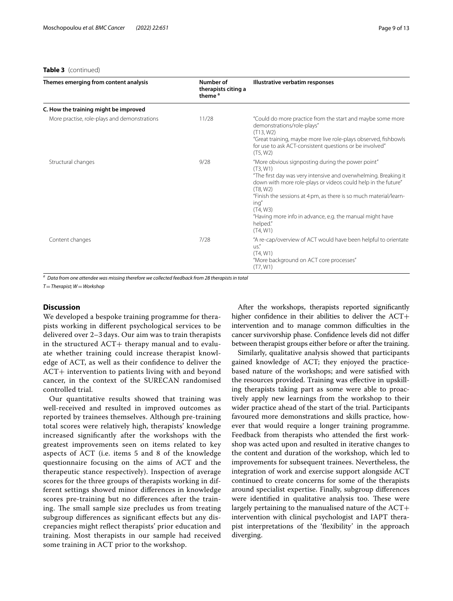#### **Table 3** (continued)

| Themes emerging from content analysis        | Number of<br>therapists citing a<br>theme <sup>a</sup> | Illustrative verbatim responses                                                                                                                                                                                                                                                                                                                                                            |
|----------------------------------------------|--------------------------------------------------------|--------------------------------------------------------------------------------------------------------------------------------------------------------------------------------------------------------------------------------------------------------------------------------------------------------------------------------------------------------------------------------------------|
| C. How the training might be improved        |                                                        |                                                                                                                                                                                                                                                                                                                                                                                            |
| More practise, role-plays and demonstrations | 11/28                                                  | "Could do more practice from the start and maybe some more<br>demonstrations/role-plays"<br>(T13, W2)<br>"Great training, maybe more live role-plays observed, fishbowls<br>for use to ask ACT-consistent questions or be involved"<br>(T5, W2)                                                                                                                                            |
| Structural changes                           | 9/28                                                   | "More obvious signposting during the power point"<br>(T3, W1)<br>"The first day was very intensive and overwhelming. Breaking it<br>down with more role-plays or videos could help in the future"<br>(T8, W2)<br>"Finish the sessions at 4 pm, as there is so much material/learn-<br>ing"<br>(T4, W3)<br>"Having more info in advance, e.g. the manual might have<br>helped."<br>(T4, W1) |
| Content changes                              | 7/28                                                   | "A re-cap/overview of ACT would have been helpful to orientate<br>US''<br>(T4, W1)<br>"More background on ACT core processes"<br>(T7, W1)                                                                                                                                                                                                                                                  |

*a Data from one attendee was missing therefore we collected feedback from 28 therapists in total*

*T*=*Therapist; W*=*Workshop*

# **Discussion**

We developed a bespoke training programme for therapists working in diferent psychological services to be delivered over 2–3 days. Our aim was to train therapists in the structured  $ACT+$  therapy manual and to evaluate whether training could increase therapist knowledge of ACT, as well as their confdence to deliver the ACT+ intervention to patients living with and beyond cancer, in the context of the SURECAN randomised controlled trial.

Our quantitative results showed that training was well-received and resulted in improved outcomes as reported by trainees themselves. Although pre-training total scores were relatively high, therapists' knowledge increased signifcantly after the workshops with the greatest improvements seen on items related to key aspects of ACT (i.e. items 5 and 8 of the knowledge questionnaire focusing on the aims of ACT and the therapeutic stance respectively). Inspection of average scores for the three groups of therapists working in different settings showed minor diferences in knowledge scores pre-training but no diferences after the training. The small sample size precludes us from treating subgroup diferences as signifcant efects but any discrepancies might refect therapists' prior education and training. Most therapists in our sample had received some training in ACT prior to the workshop.

After the workshops, therapists reported signifcantly higher confidence in their abilities to deliver the ACT+ intervention and to manage common difficulties in the cancer survivorship phase. Confdence levels did not difer between therapist groups either before or after the training.

Similarly, qualitative analysis showed that participants gained knowledge of ACT; they enjoyed the practicebased nature of the workshops; and were satisfed with the resources provided. Training was efective in upskilling therapists taking part as some were able to proactively apply new learnings from the workshop to their wider practice ahead of the start of the trial. Participants favoured more demonstrations and skills practice, however that would require a longer training programme. Feedback from therapists who attended the frst workshop was acted upon and resulted in iterative changes to the content and duration of the workshop, which led to improvements for subsequent trainees. Nevertheless, the integration of work and exercise support alongside ACT continued to create concerns for some of the therapists around specialist expertise. Finally, subgroup diferences were identified in qualitative analysis too. These were largely pertaining to the manualised nature of the ACT+ intervention with clinical psychologist and IAPT therapist interpretations of the 'fexibility' in the approach diverging.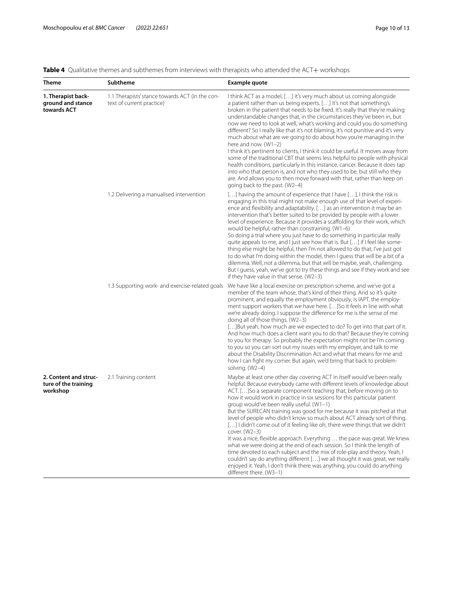<span id="page-9-0"></span>

| Table 4 Qualitative themes and subthemes from interviews with therapists who attended the ACT+ workshops |  |
|----------------------------------------------------------------------------------------------------------|--|
|----------------------------------------------------------------------------------------------------------|--|

| Theme                                                     | <b>Subtheme</b>                                                              | <b>Example quote</b>                                                                                                                                                                                                                                                                                                                                                                                                                                                                                                                                                                                                                                                                                                                                                                                                                                                                                                                                                                                                                      |
|-----------------------------------------------------------|------------------------------------------------------------------------------|-------------------------------------------------------------------------------------------------------------------------------------------------------------------------------------------------------------------------------------------------------------------------------------------------------------------------------------------------------------------------------------------------------------------------------------------------------------------------------------------------------------------------------------------------------------------------------------------------------------------------------------------------------------------------------------------------------------------------------------------------------------------------------------------------------------------------------------------------------------------------------------------------------------------------------------------------------------------------------------------------------------------------------------------|
| 1. Therapist back-<br>ground and stance<br>towards ACT    | 1.1 Therapists' stance towards ACT (in the con-<br>text of current practice) | I think ACT as a model, [] it's very much about us coming alongside<br>a patient rather than us being experts. [] it's not that something's<br>broken in the patient that needs to be fixed. It's really that they're making<br>understandable changes that, in the circumstances they've been in, but<br>now we need to look at well, what's working and could you do something<br>different? So I really like that it's not blaming, it's not punitive and it's very<br>much about what are we going to do about how you're managing in the<br>here and now. $(W1-2)$<br>I think it's pertinent to clients, I think it could be useful. It moves away from<br>some of the traditional CBT that seems less helpful to people with physical<br>health conditions, particularly in this instance, cancer. Because it does tap<br>into who that person is, and not who they used to be, but still who they<br>are. And allows you to then move forward with that, rather than keep on<br>going back to the past. (W2-4)                     |
|                                                           | 1.2 Delivering a manualised intervention                                     | [] having the amount of experience that I have [], I think the risk is<br>engaging in this trial might not make enough use of that level of experi-<br>ence and flexibility and adaptability. [] as an intervention it may be an<br>intervention that's better suited to be provided by people with a lower<br>level of experience. Because it provides a scaffolding for their work, which<br>would be helpful, rather than constraining. (W1-6)<br>So doing a trial where you just have to do something in particular really<br>quite appeals to me, and I just see how that is. But [] if I feel like some-<br>thing else might be helpful, then I'm not allowed to do that, I've just got<br>to do what I'm doing within the model, then I guess that will be a bit of a<br>dilemma. Well, not a dilemma, but that will be maybe, yeah, challenging.<br>But I quess, yeah, we've got to try these things and see if they work and see<br>if they have value in that sense. (W2-3)                                                     |
|                                                           | 1.3 Supporting work- and exercise-related goals                              | We have like a local exercise on prescription scheme, and we've got a<br>member of the team whose, that's kind of their thing. And so it's quite<br>prominent, and equally the employment obviously, is IAPT, the employ-<br>ment support workers that we have here. []So it feels in line with what<br>we're already doing. I suppose the difference for me is the sense of me<br>doing all of those things. (W2-3)<br>[] But yeah, how much are we expected to do? To get into that part of it.<br>And how much does a client want you to do that? Because they're coming<br>to you for therapy. So probably the expectation might not be I'm coming<br>to you so you can sort out my issues with my employer, and talk to me<br>about the Disability Discrimination Act and what that means for me and<br>how I can fight my corner. But again, we'd bring that back to problem-<br>solving. (W2-4)                                                                                                                                    |
| 2. Content and struc-<br>ture of the training<br>workshop | 2.1 Training content                                                         | Maybe at least one other day covering ACT in itself would've been really<br>helpful. Because everybody came with different levels of knowledge about<br>ACT. [] So a separate component teaching that, before moving on to<br>how it would work in practice in six sessions for this particular patient<br>group would've been really useful. (W1-1)<br>But the SURECAN training was good for me because it was pitched at that<br>level of people who didn't know so much about ACT already sort of thing.<br>[] I didn't come out of it feeling like oh, there were things that we didn't<br>cover. (W2-3)<br>It was a nice, flexible approach. Everything  the pace was great. We knew<br>what we were doing at the end of each session. So I think the length of<br>time devoted to each subject and the mix of role-play and theory. Yeah, I<br>couldn't say do anything different [] we all thought it was great, we really<br>enjoyed it. Yeah, I don't think there was anything, you could do anything<br>different there. (W3-1) |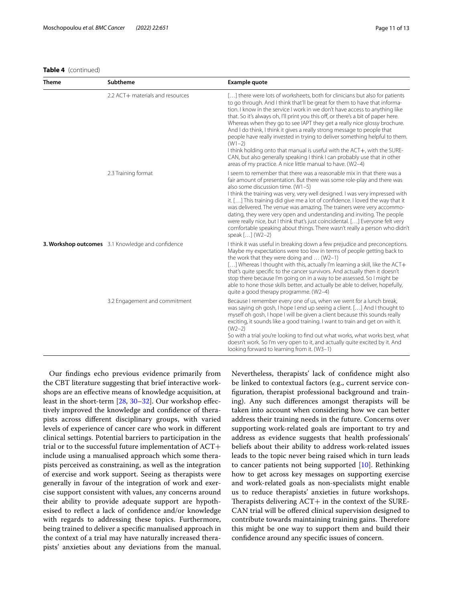# **Table 4** (continued)

| <b>Theme</b> | Subtheme                                          | <b>Example quote</b>                                                                                                                                                                                                                                                                                                                                                                                                                                                                                                                                                                                                                                                                                                                                                                                   |
|--------------|---------------------------------------------------|--------------------------------------------------------------------------------------------------------------------------------------------------------------------------------------------------------------------------------------------------------------------------------------------------------------------------------------------------------------------------------------------------------------------------------------------------------------------------------------------------------------------------------------------------------------------------------------------------------------------------------------------------------------------------------------------------------------------------------------------------------------------------------------------------------|
|              | 2.2 ACT+ materials and resources                  | [] there were lots of worksheets, both for clinicians but also for patients<br>to go through. And I think that'll be great for them to have that informa-<br>tion. I know in the service I work in we don't have access to anything like<br>that. So it's always oh, I'll print you this off, or there's a bit of paper here.<br>Whereas when they go to see IAPT they get a really nice glossy brochure.<br>And I do think, I think it gives a really strong message to people that<br>people have really invested in trying to deliver something helpful to them.<br>$(W1-2)$<br>I think holding onto that manual is useful with the ACT+, with the SURE-<br>CAN, but also generally speaking I think I can probably use that in other<br>areas of my practice. A nice little manual to have. (W2-4) |
|              | 2.3 Training format                               | I seem to remember that there was a reasonable mix in that there was a<br>fair amount of presentation. But there was some role-play and there was<br>also some discussion time. (W1-5)<br>I think the training was very, very well designed. I was very impressed with<br>it. [] This training did give me a lot of confidence. I loved the way that it<br>was delivered. The venue was amazing. The trainers were very accommo-<br>dating, they were very open and understanding and inviting. The people<br>were really nice, but I think that's just coincidental. [] Everyone felt very<br>comfortable speaking about things. There wasn't really a person who didn't<br>speak [] (W2-2)                                                                                                           |
|              | 3. Workshop outcomes 3.1 Knowledge and confidence | I think it was useful in breaking down a few prejudice and preconceptions.<br>Maybe my expectations were too low in terms of people getting back to<br>the work that they were doing and $\dots$ (W2-1)<br>[] Whereas I thought with this, actually I'm learning a skill, like the ACT+<br>that's quite specific to the cancer survivors. And actually then it doesn't<br>stop there because I'm going on in a way to be assessed. So I might be<br>able to hone those skills better, and actually be able to deliver, hopefully,<br>quite a good therapy programme. (W2-4)                                                                                                                                                                                                                            |
|              | 3.2 Engagement and commitment                     | Because I remember every one of us, when we went for a lunch break,<br>was saying oh gosh, I hope I end up seeing a client. [] And I thought to<br>myself oh gosh, I hope I will be given a client because this sounds really<br>exciting, it sounds like a good training. I want to train and get on with it.<br>$(W2-2)$<br>So with a trial you're looking to find out what works, what works best, what<br>doesn't work. So I'm very open to it, and actually quite excited by it. And<br>looking forward to learning from it. (W3-1)                                                                                                                                                                                                                                                               |

Our fndings echo previous evidence primarily from the CBT literature suggesting that brief interactive workshops are an efective means of knowledge acquisition, at least in the short-term [[28,](#page-12-26) [30–](#page-12-28)[32\]](#page-12-29). Our workshop efectively improved the knowledge and confdence of therapists across diferent disciplinary groups, with varied levels of experience of cancer care who work in diferent clinical settings. Potential barriers to participation in the trial or to the successful future implementation of ACT+ include using a manualised approach which some therapists perceived as constraining, as well as the integration of exercise and work support. Seeing as therapists were generally in favour of the integration of work and exercise support consistent with values, any concerns around their ability to provide adequate support are hypothesised to refect a lack of confdence and/or knowledge with regards to addressing these topics. Furthermore, being trained to deliver a specifc manualised approach in the context of a trial may have naturally increased therapists' anxieties about any deviations from the manual. Nevertheless, therapists' lack of confdence might also be linked to contextual factors (e.g., current service confguration, therapist professional background and training). Any such diferences amongst therapists will be taken into account when considering how we can better address their training needs in the future. Concerns over supporting work-related goals are important to try and address as evidence suggests that health professionals' beliefs about their ability to address work-related issues leads to the topic never being raised which in turn leads to cancer patients not being supported [[10\]](#page-12-8). Rethinking how to get across key messages on supporting exercise and work-related goals as non-specialists might enable us to reduce therapists' anxieties in future workshops. Therapists delivering  $ACT+$  in the context of the SURE-CAN trial will be ofered clinical supervision designed to contribute towards maintaining training gains. Therefore this might be one way to support them and build their confdence around any specifc issues of concern.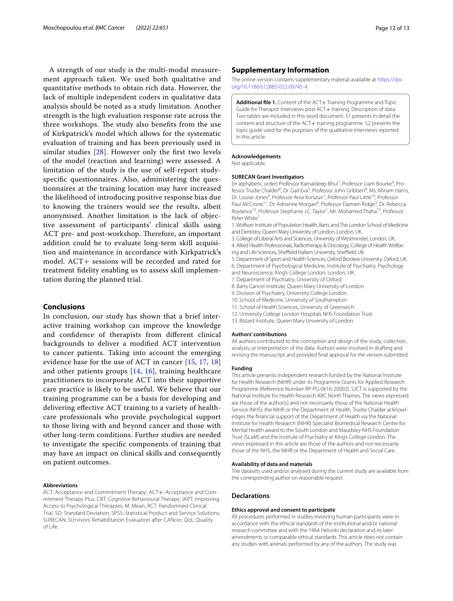A strength of our study is the multi-modal measurement approach taken. We used both qualitative and quantitative methods to obtain rich data. However, the lack of multiple independent coders in qualitative data analysis should be noted as a study limitation. Another strength is the high evaluation response rate across the three workshops. The study also benefits from the use of Kirkpatrick's model which allows for the systematic evaluation of training and has been previously used in similar studies [\[28](#page-12-26)]. However only the frst two levels of the model (reaction and learning) were assessed. A limitation of the study is the use of self-report studyspecifc questionnaires. Also, administering the questionnaires at the training location may have increased the likelihood of introducing positive response bias due to knowing the trainers would see the results, albeit anonymised. Another limitation is the lack of objective assessment of participants' clinical skills using ACT pre- and post-workshop. Therefore, an important addition could be to evaluate long-term skill acquisition and maintenance in accordance with Kirkpatrick's model. ACT+ sessions will be recorded and rated for treatment fdelity enabling us to assess skill implementation during the planned trial.

# **Conclusions**

In conclusion, our study has shown that a brief interactive training workshop can improve the knowledge and confdence of therapists from diferent clinical backgrounds to deliver a modifed ACT intervention to cancer patients. Taking into account the emerging evidence base for the use of ACT in cancer [[15,](#page-12-13) [17](#page-12-15), [18](#page-12-16)] and other patients groups [[14,](#page-12-12) [16\]](#page-12-14), training healthcare practitioners to incorporate ACT into their supportive care practice is likely to be useful. We believe that our training programme can be a basis for developing and delivering efective ACT training to a variety of healthcare professionals who provide psychological support to those living with and beyond cancer and those with other long-term conditions. Further studies are needed to investigate the specifc components of training that may have an impact on clinical skills and consequently on patient outcomes.

#### **Abbreviations**

ACT: Acceptance and Commitment Therapy; ACT+: Acceptance and Commitment Therapy Plus; CBT: Cognitive Behavioural Therapy; IAPT: Improving Access to Psychological Therapies; M: Mean; RCT: Randomised Clinical Trial; SD: Standard Deviation; SPSS: Statistical Product and Service Solutions; SURECAN: SUrvivors' Rehabilitation Evaluation after CANcer; QoL: Quality of Life.

# **Supplementary Information**

The online version contains supplementary material available at [https://doi.](https://doi.org/10.1186/s12885-022-09745-4) [org/10.1186/s12885-022-09745-4](https://doi.org/10.1186/s12885-022-09745-4).

<span id="page-11-0"></span>**Additional file 1.** Content of the ACT+ Training Programme and Topic Guide for Therapist Interviews post ACT+ training. Description of data: Two tables are included in this word document. S1 presents in detail the content and structure of the ACT+ training programme. S2 presents the topic guide used for the purposes of the qualitative interviews reported in this article.

#### **Acknowledgements**

Not applicable.

#### **SURECAN Grant Investigators**

(in alphabetic order) Professor Kamaldeep Bhui<sup>7</sup>, Professor Liam Bourke<sup>4</sup>, Professor Trudie Chalder<sup>6</sup>, Dr. Gail Eva<sup>5</sup>, Professor John Gribben<sup>8</sup>, Ms. Miriam Harris, Dr. Louise Jones<sup>9</sup>, Professor Ania Korszun<sup>1</sup>, Professor Paul Little<sup>10</sup>, Professor Paul McCrone<sup>11</sup>, Dr. Adrienne Morgan<sup>8</sup>, Professor Damien Ridge<sup>3</sup>, Dr. Rebecca Roylance<sup>12</sup>, Professor Stephanie J.C. Taylor<sup>1</sup>, Mr. Mohamed Thaha<sup>13</sup>, Professor Peter White<sup>1</sup>. .

1. Wolfson Institute of Population Health, Barts and The London School of Medicine and Dentistry, Queen Mary University of London, London, UK.

3. College of Liberal Arts and Sciences, University of Westminster, London, UK. 4. Allied Health Professionals, Radiotherapy & Oncology, College of Health Wellbeing and Life Sciences, Sheffield Hallam University, Sheffield, UK.

5. Department of Sport and Health Sciences, Oxford Brookes University, Oxford, UK. 6. Department of Psychological Medicine, Institute of Psychiatry, Psychology and Neuroscience, King's College London, London, UK.

- 7. Department of Psychiatry, University of Oxford.
- 8. Barts Cancer Institute, Queen Mary University of London.
- 9. Division of Psychiatry, University College London.
- 10. School of Medicine, University of Southampton.
- 11. School of Health Sciences, University of Greenwich.
- 12. University College London Hospitals NHS Foundation Trust.
- 13. Blizard Institute, Queen Mary University of London.

#### **Authors' contributions**

All authors contributed to the conception and design of the study, collection, analysis, or interpretation of the data. Authors were involved in drafting and revising the manuscript and provided fnal approval for the version submitted.

#### **Funding**

This article presents independent research funded by the National Institute for Health Research (NIHR) under its Programme Grants for Applied Research Programme (Reference Number RP-PG-0616-20002). SJCT is supported by the National Institute for Health Research ARC North Thames. The views expressed are those of the author(s) and not necessarily those of the National Health Service (NHS), the NIHR or the Department of Health. Trudie Chalder acknowledges the fnancial support of the Department of Health via the National Institute for Health Research (NIHR) Specialist Biomedical Research Centre for Mental Health award to the South London and Maudsley NHS Foundation Trust (SLaM) and the Institute of Psychiatry at King's College London. The views expressed in this article are those of the authors and not necessarily those of the NHS, the NIHR or the Department of Health and Social Care.

#### **Availability of data and materials**

The datasets used and/or analysed during the current study are available from the corresponding author on reasonable request.

#### **Declarations**

#### **Ethics approval and consent to participate**

All procedures performed in studies involving human participants were in accordance with the ethical standards of the institutional and/or national research committee and with the 1964 Helsinki declaration and its later amendments or comparable ethical standards. This article does not contain any studies with animals performed by any of the authors. The study was